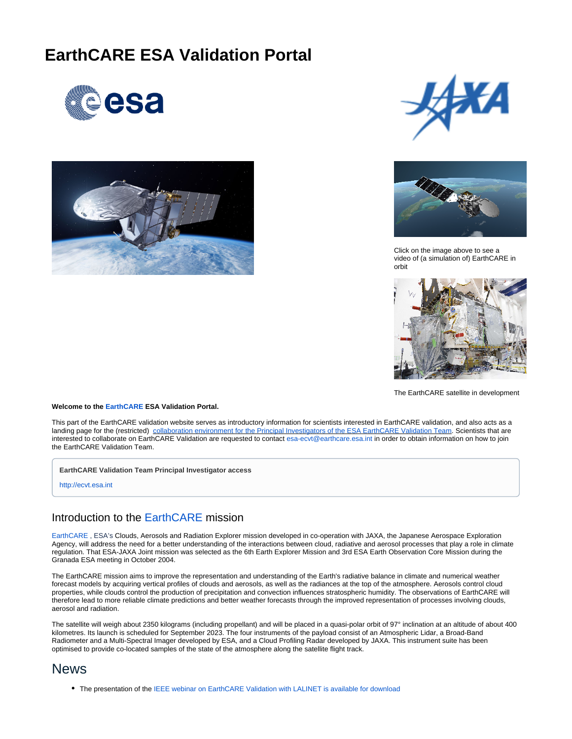# **EarthCARE ESA Validation Portal**









Click on the image above to see a video of (a simulation of) EarthCARE in orbit



The EarthCARE satellite in development

#### **Welcome to the [EarthCARE](https://www.esa.int/Our_Activities/Observing_the_Earth/The_Living_Planet_Programme/Earth_Explorers/EarthCARE) ESA Validation Portal.**

This part of the EarthCARE validation website serves as introductory information for scientists interested in EarthCARE validation, and also acts as a landing page for the (restricted) [collaboration environment for the Principal Investigators of the ESA EarthCARE Validation Team.](http://ecvt.esa.int) Scientists that are interested to collaborate on EarthCARE Validation are requested to contact [esa-ecvt@earthcare.esa.int](mailto:esa-ecvt@earthcare.esa.int) in order to obtain information on how to join the EarthCARE Validation Team.

**EarthCARE Validation Team Principal Investigator access**

<http://ecvt.esa.int>

### Introduction to the [EarthCARE](https://www.esa.int/Our_Activities/Observing_the_Earth/The_Living_Planet_Programme/Earth_Explorers/EarthCARE) mission

[EarthCARE](https://www.esa.int/Our_Activities/Observing_the_Earth/The_Living_Planet_Programme/Earth_Explorers/EarthCARE) , ESA's Clouds, Aerosols and Radiation Explorer mission developed in co-operation with JAXA, the Japanese Aerospace Exploration Agency, will address the need for a better understanding of the interactions between cloud, radiative and aerosol processes that play a role in climate regulation. That ESA-JAXA Joint mission was selected as the 6th Earth Explorer Mission and 3rd ESA Earth Observation Core Mission during the Granada ESA meeting in October 2004.

The EarthCARE mission aims to improve the representation and understanding of the Earth's radiative balance in climate and numerical weather forecast models by acquiring vertical profiles of clouds and aerosols, as well as the radiances at the top of the atmosphere. Aerosols control cloud properties, while clouds control the production of precipitation and convection influences stratospheric humidity. The observations of EarthCARE will therefore lead to more reliable climate predictions and better weather forecasts through the improved representation of processes involving clouds, aerosol and radiation.

The satellite will weigh about 2350 kilograms (including propellant) and will be placed in a quasi-polar orbit of 97° inclination at an altitude of about 400 kilometres. Its launch is scheduled for September 2023. The four instruments of the payload consist of an Atmospheric Lidar, a Broad-Band Radiometer and a Multi-Spectral Imager developed by ESA, and a Cloud Profiling Radar developed by JAXA. This instrument suite has been optimised to provide co-located samples of the state of the atmosphere along the satellite flight track.

## News

• The presentation of the [IEEE webinar on EarthCARE Validation with LALINET is available for download](https://earthcare-val.esa.int/download/attachments/327683/LALINETCAL30.pptx?version=1&modificationDate=1629903396801&api=v2)